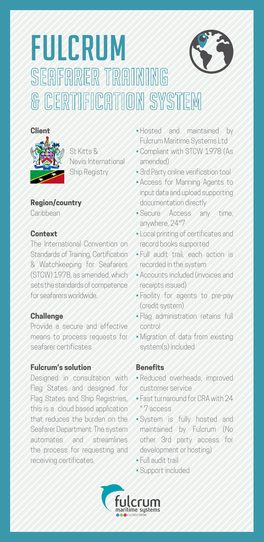# FULCRUM<br>SEAFARER TRAINING **& CERTIFICATION SYSTEM**



St Kitts & Nevis International Ship Registry

#### **Region/country** Caribbean

#### **Context**

The International Convention on Standards of Training, Certification & Watchkeeping for Seafarers (STCW) 1978, as amended, which sets the standards of competence for seafarers worldwide.

## **Challenge**

Provide a secure and effective means to process requests for seafarer certificates.

## **Fulcrum's solution**

Designed in consultation with Flag States and designed for Flag States and Ship Registries, this is a cloud based application that reduces the burden on the Seafarer Department. The system automates and streamlines the process for requesting and receiving certificates.

- Hosted and maintained by Fulcrum Maritime Systems Ltd
- Compliant with STCW 1978 (As amended)
- 3rd Party online verification tool
- Access for Manning Agents to input data and upload supporting documentation directly
- Secure Access any time, anywhere, 24\*7
- Local printing of certificates and record books supported
- Full audit trail, each action is recorded in the system
- Accounts included (invoices and receipts issued)
- Facility for agents to pre-pay (credit system)
- Flag administration retains full control
- Migration of data from existing system(s) included

## **Benefits**

- Reduced overheads, improved customer service
- Fast turnaround for CRA with 24 \* 7 access
- System is fully hosted and maintained by Fulcrum (No other 3rd party access for development or hosting)
- Full audit trail
- Support included